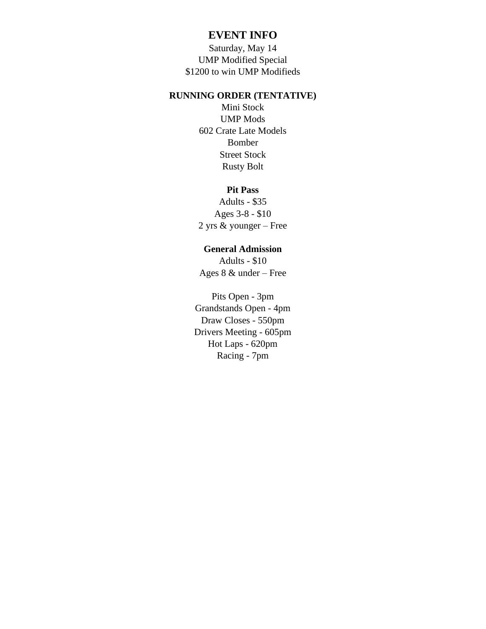## **EVENT INFO**

Saturday, May 14 UMP Modified Special \$1200 to win UMP Modifieds

## **RUNNING ORDER (TENTATIVE)**

Mini Stock UMP Mods 602 Crate Late Models Bomber Street Stock Rusty Bolt

## **Pit Pass**

Adults - \$35 Ages 3-8 - \$10 2 yrs & younger – Free

## **General Admission**

Adults - \$10 Ages 8 & under – Free

Pits Open - 3pm Grandstands Open - 4pm Draw Closes - 550pm Drivers Meeting - 605pm Hot Laps - 620pm Racing - 7pm